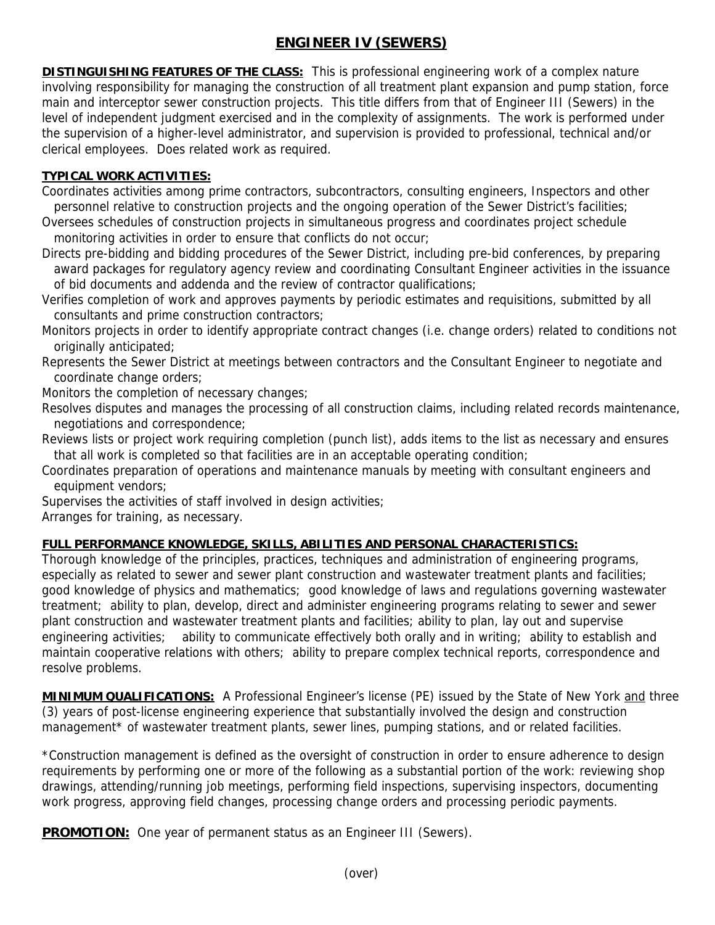## **ENGINEER IV (SEWERS)**

**DISTINGUISHING FEATURES OF THE CLASS:** This is professional engineering work of a complex nature involving responsibility for managing the construction of all treatment plant expansion and pump station, force main and interceptor sewer construction projects. This title differs from that of Engineer III (Sewers) in the level of independent judgment exercised and in the complexity of assignments. The work is performed under the supervision of a higher-level administrator, and supervision is provided to professional, technical and/or clerical employees. Does related work as required.

## **TYPICAL WORK ACTIVITIES:**

Coordinates activities among prime contractors, subcontractors, consulting engineers, Inspectors and other personnel relative to construction projects and the ongoing operation of the Sewer District's facilities; Oversees schedules of construction projects in simultaneous progress and coordinates project schedule monitoring activities in order to ensure that conflicts do not occur;

Directs pre-bidding and bidding procedures of the Sewer District, including pre-bid conferences, by preparing award packages for regulatory agency review and coordinating Consultant Engineer activities in the issuance of bid documents and addenda and the review of contractor qualifications;

Verifies completion of work and approves payments by periodic estimates and requisitions, submitted by all consultants and prime construction contractors;

Monitors projects in order to identify appropriate contract changes (i.e. change orders) related to conditions not originally anticipated;

Represents the Sewer District at meetings between contractors and the Consultant Engineer to negotiate and coordinate change orders;

Monitors the completion of necessary changes;

Resolves disputes and manages the processing of all construction claims, including related records maintenance, negotiations and correspondence;

Reviews lists or project work requiring completion (punch list), adds items to the list as necessary and ensures that all work is completed so that facilities are in an acceptable operating condition;

Coordinates preparation of operations and maintenance manuals by meeting with consultant engineers and equipment vendors;

Supervises the activities of staff involved in design activities;

Arranges for training, as necessary.

## **FULL PERFORMANCE KNOWLEDGE, SKILLS, ABILITIES AND PERSONAL CHARACTERISTICS:**

Thorough knowledge of the principles, practices, techniques and administration of engineering programs, especially as related to sewer and sewer plant construction and wastewater treatment plants and facilities; good knowledge of physics and mathematics; good knowledge of laws and regulations governing wastewater treatment; ability to plan, develop, direct and administer engineering programs relating to sewer and sewer plant construction and wastewater treatment plants and facilities; ability to plan, lay out and supervise engineering activities; ability to communicate effectively both orally and in writing; ability to establish and maintain cooperative relations with others; ability to prepare complex technical reports, correspondence and resolve problems.

**MINIMUM QUALIFICATIONS:** A Professional Engineer's license (PE) issued by the State of New York and three (3) years of post-license engineering experience that substantially involved the design and construction management\* of wastewater treatment plants, sewer lines, pumping stations, and or related facilities.

\*Construction management is defined as the oversight of construction in order to ensure adherence to design requirements by performing one or more of the following as a substantial portion of the work: reviewing shop drawings, attending/running job meetings, performing field inspections, supervising inspectors, documenting work progress, approving field changes, processing change orders and processing periodic payments.

**PROMOTION:** One year of permanent status as an Engineer III (Sewers).